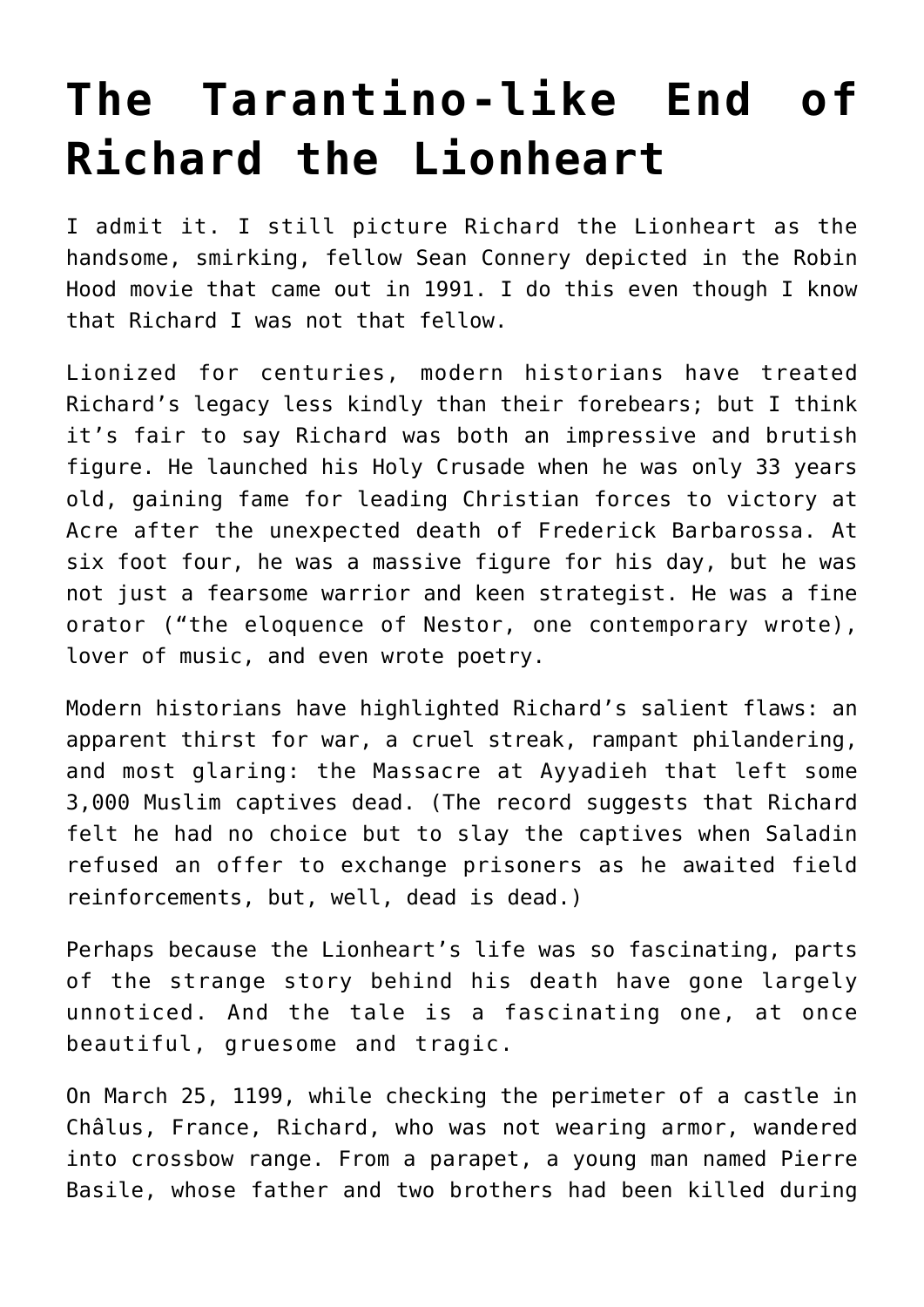## **[The Tarantino-like End of](https://intellectualtakeout.org/2016/04/the-tarantino-like-end-of-richard-the-lionheart/) [Richard the Lionheart](https://intellectualtakeout.org/2016/04/the-tarantino-like-end-of-richard-the-lionheart/)**

I admit it. I still picture Richard the Lionheart as the handsome, smirking, fellow Sean Connery depicted in the Robin Hood movie that came out in 1991. I do this even though I know that Richard I was not that fellow.

Lionized for centuries, modern historians have treated Richard's legacy less kindly than their forebears; but I think it's fair to say Richard was both an impressive and brutish figure. He launched his Holy Crusade when he was only 33 years old, gaining fame for leading Christian forces to victory at Acre after the unexpected death of Frederick Barbarossa. At six foot four, he was a massive figure for his day, but he was not just a fearsome warrior and keen strategist. He was a fine orator ("the eloquence of Nestor, one contemporary wrote), lover of music, and even wrote poetry.

Modern historians have highlighted Richard's salient flaws: an apparent thirst for war, a cruel streak, rampant philandering, and most glaring: the Massacre at Ayyadieh that left some 3,000 Muslim captives dead. (The record suggests that Richard felt he had no choice but to slay the captives when Saladin refused an offer to exchange prisoners as he awaited field reinforcements, but, well, dead is dead.)

Perhaps because the Lionheart's life was so fascinating, parts of the strange story behind his death have gone largely unnoticed. And the tale is a fascinating one, at once beautiful, gruesome and tragic.

On March 25, 1199, while checking the perimeter of a castle in Châlus, France, Richard, who was not wearing armor, wandered into crossbow range. From a parapet, a young man named Pierre Basile, whose father and two brothers had been killed during